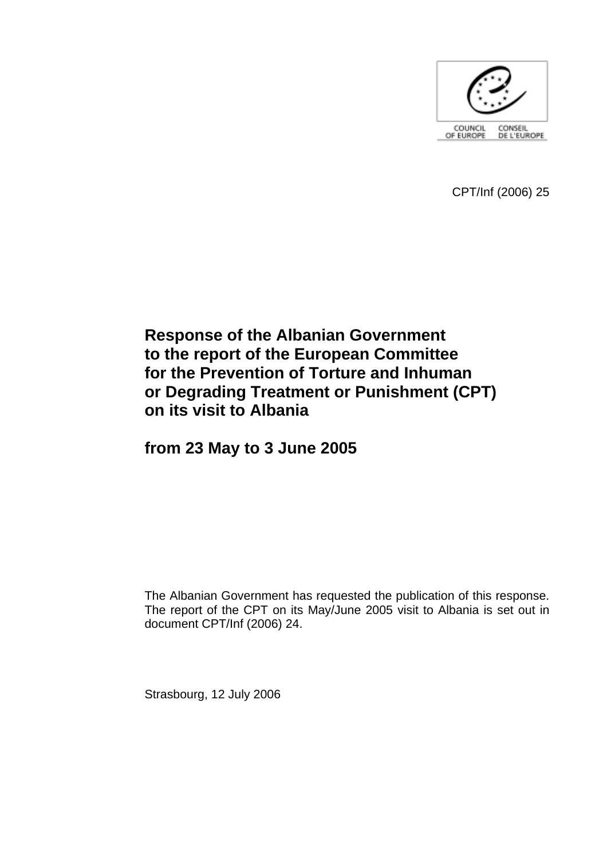

CPT/Inf (2006) 25

# **Response of the Albanian Government to the report of the European Committee for the Prevention of Torture and Inhuman or Degrading Treatment or Punishment (CPT) on its visit to Albania**

**from 23 May to 3 June 2005** 

The Albanian Government has requested the publication of this response. The report of the CPT on its May/June 2005 visit to Albania is set out in document CPT/Inf (2006) 24.

Strasbourg, 12 July 2006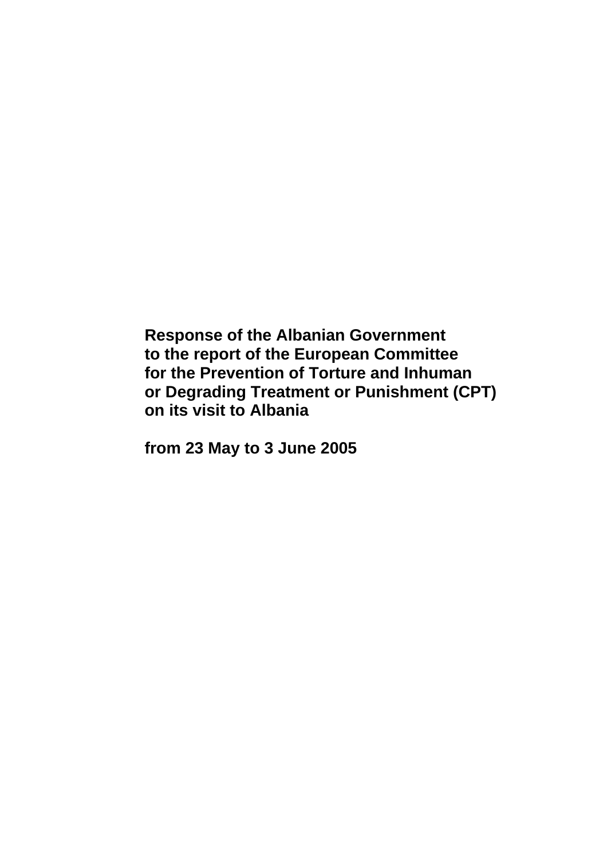**Response of the Albanian Government to the report of the European Committee for the Prevention of Torture and Inhuman or Degrading Treatment or Punishment (CPT) on its visit to Albania** 

**from 23 May to 3 June 2005**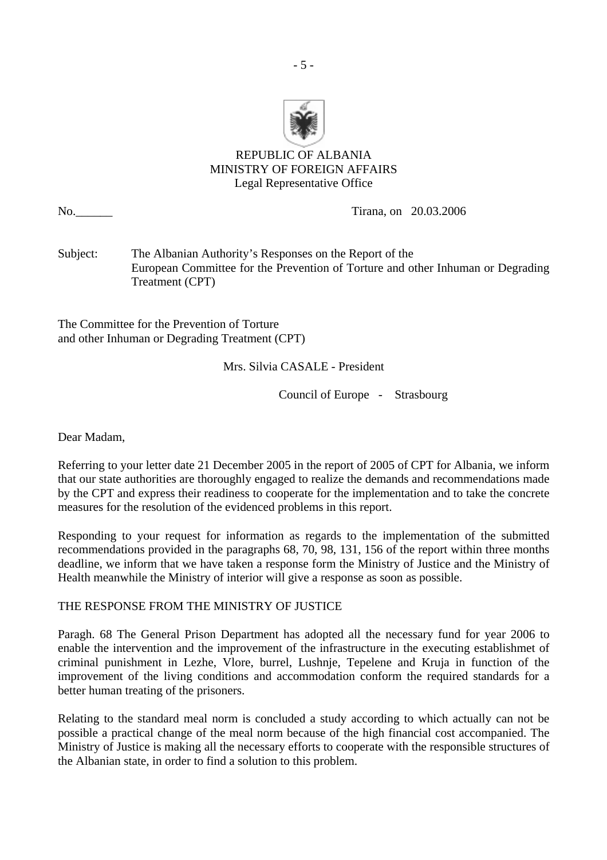

# REPUBLIC OF ALBANIA MINISTRY OF FOREIGN AFFAIRS Legal Representative Office

No. 20.03.2006 No. 20.03.2006

Subject: The Albanian Authority's Responses on the Report of the European Committee for the Prevention of Torture and other Inhuman or Degrading Treatment (CPT)

The Committee for the Prevention of Torture and other Inhuman or Degrading Treatment (CPT)

## Mrs. Silvia CASALE - President

Council of Europe - Strasbourg

Dear Madam,

Referring to your letter date 21 December 2005 in the report of 2005 of CPT for Albania, we inform that our state authorities are thoroughly engaged to realize the demands and recommendations made by the CPT and express their readiness to cooperate for the implementation and to take the concrete measures for the resolution of the evidenced problems in this report.

Responding to your request for information as regards to the implementation of the submitted recommendations provided in the paragraphs 68, 70, 98, 131, 156 of the report within three months deadline, we inform that we have taken a response form the Ministry of Justice and the Ministry of Health meanwhile the Ministry of interior will give a response as soon as possible.

THE RESPONSE FROM THE MINISTRY OF JUSTICE

Paragh. 68 The General Prison Department has adopted all the necessary fund for year 2006 to enable the intervention and the improvement of the infrastructure in the executing establishmet of criminal punishment in Lezhe, Vlore, burrel, Lushnje, Tepelene and Kruja in function of the improvement of the living conditions and accommodation conform the required standards for a better human treating of the prisoners.

Relating to the standard meal norm is concluded a study according to which actually can not be possible a practical change of the meal norm because of the high financial cost accompanied. The Ministry of Justice is making all the necessary efforts to cooperate with the responsible structures of the Albanian state, in order to find a solution to this problem.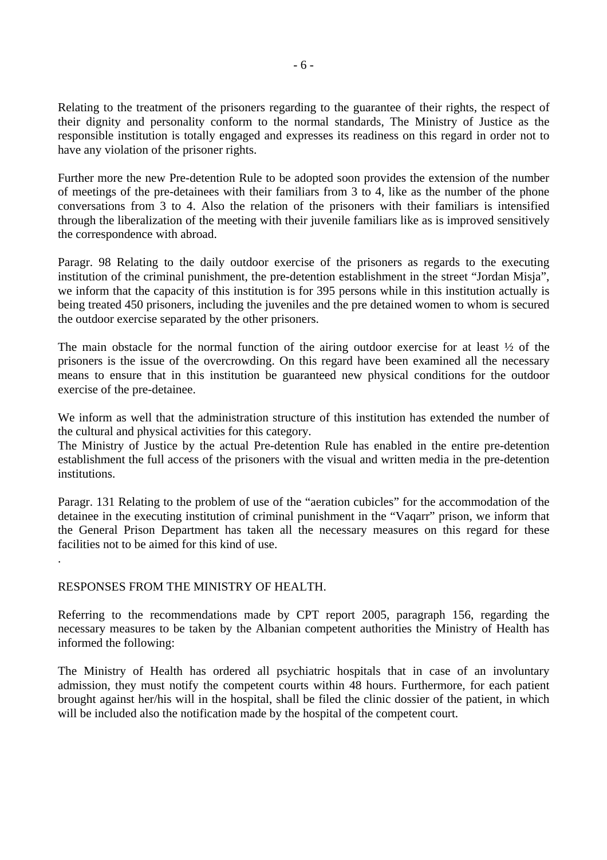Relating to the treatment of the prisoners regarding to the guarantee of their rights, the respect of their dignity and personality conform to the normal standards, The Ministry of Justice as the responsible institution is totally engaged and expresses its readiness on this regard in order not to have any violation of the prisoner rights.

Further more the new Pre-detention Rule to be adopted soon provides the extension of the number of meetings of the pre-detainees with their familiars from 3 to 4, like as the number of the phone conversations from 3 to 4. Also the relation of the prisoners with their familiars is intensified through the liberalization of the meeting with their juvenile familiars like as is improved sensitively the correspondence with abroad.

Paragr. 98 Relating to the daily outdoor exercise of the prisoners as regards to the executing institution of the criminal punishment, the pre-detention establishment in the street "Jordan Misja", we inform that the capacity of this institution is for 395 persons while in this institution actually is being treated 450 prisoners, including the juveniles and the pre detained women to whom is secured the outdoor exercise separated by the other prisoners.

The main obstacle for the normal function of the airing outdoor exercise for at least ½ of the prisoners is the issue of the overcrowding. On this regard have been examined all the necessary means to ensure that in this institution be guaranteed new physical conditions for the outdoor exercise of the pre-detainee.

We inform as well that the administration structure of this institution has extended the number of the cultural and physical activities for this category.

The Ministry of Justice by the actual Pre-detention Rule has enabled in the entire pre-detention establishment the full access of the prisoners with the visual and written media in the pre-detention institutions.

Paragr. 131 Relating to the problem of use of the "aeration cubicles" for the accommodation of the detainee in the executing institution of criminal punishment in the "Vaqarr" prison, we inform that the General Prison Department has taken all the necessary measures on this regard for these facilities not to be aimed for this kind of use.

#### RESPONSES FROM THE MINISTRY OF HEALTH.

.

Referring to the recommendations made by CPT report 2005, paragraph 156, regarding the necessary measures to be taken by the Albanian competent authorities the Ministry of Health has informed the following:

The Ministry of Health has ordered all psychiatric hospitals that in case of an involuntary admission, they must notify the competent courts within 48 hours. Furthermore, for each patient brought against her/his will in the hospital, shall be filed the clinic dossier of the patient, in which will be included also the notification made by the hospital of the competent court.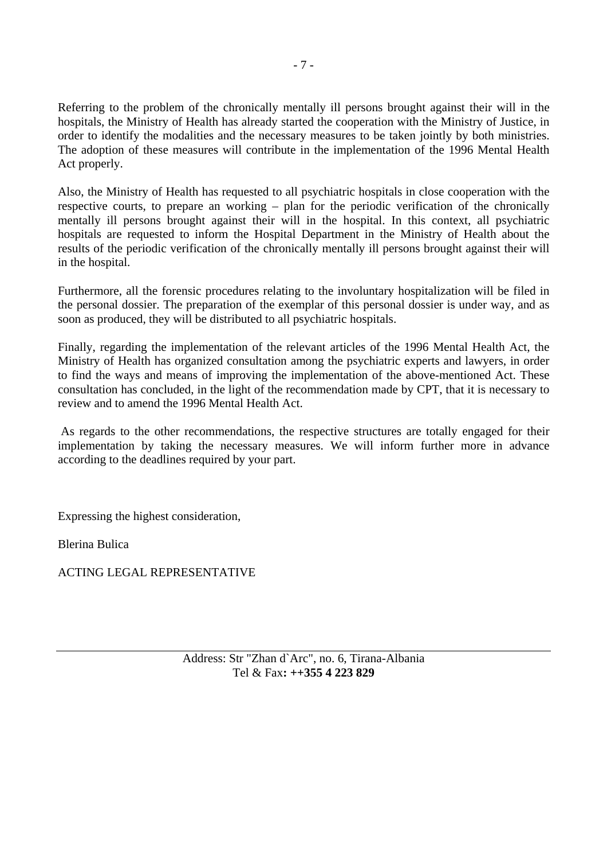Referring to the problem of the chronically mentally ill persons brought against their will in the hospitals, the Ministry of Health has already started the cooperation with the Ministry of Justice, in order to identify the modalities and the necessary measures to be taken jointly by both ministries. The adoption of these measures will contribute in the implementation of the 1996 Mental Health Act properly.

Also, the Ministry of Health has requested to all psychiatric hospitals in close cooperation with the respective courts, to prepare an working – plan for the periodic verification of the chronically mentally ill persons brought against their will in the hospital. In this context, all psychiatric hospitals are requested to inform the Hospital Department in the Ministry of Health about the results of the periodic verification of the chronically mentally ill persons brought against their will in the hospital.

Furthermore, all the forensic procedures relating to the involuntary hospitalization will be filed in the personal dossier. The preparation of the exemplar of this personal dossier is under way, and as soon as produced, they will be distributed to all psychiatric hospitals.

Finally, regarding the implementation of the relevant articles of the 1996 Mental Health Act, the Ministry of Health has organized consultation among the psychiatric experts and lawyers, in order to find the ways and means of improving the implementation of the above-mentioned Act. These consultation has concluded, in the light of the recommendation made by CPT, that it is necessary to review and to amend the 1996 Mental Health Act.

 As regards to the other recommendations, the respective structures are totally engaged for their implementation by taking the necessary measures. We will inform further more in advance according to the deadlines required by your part.

Expressing the highest consideration,

Blerina Bulica

ACTING LEGAL REPRESENTATIVE

Address: Str "Zhan d`Arc", no. 6, Tirana-Albania Tel & Fax**: ++355 4 223 829**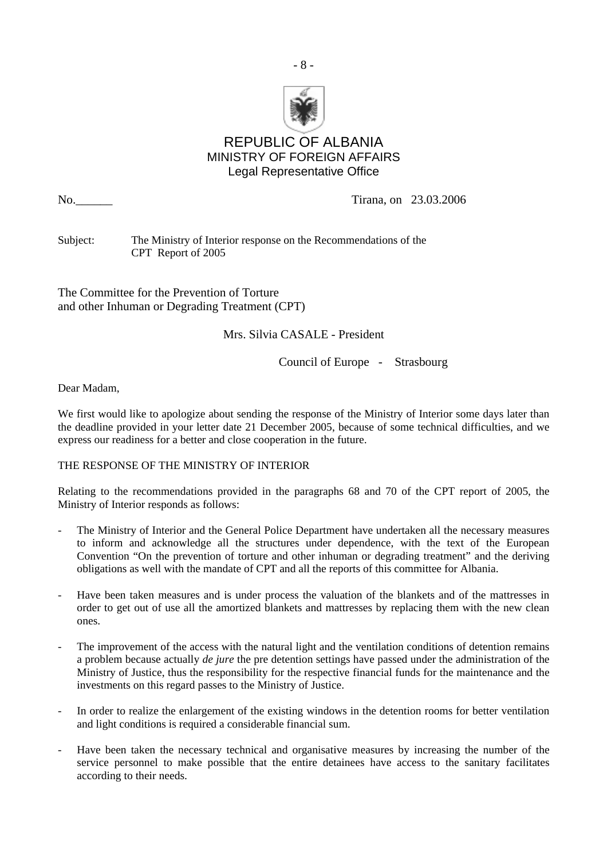

- 8 -

# REPUBLIC OF ALBANIA MINISTRY OF FOREIGN AFFAIRS Legal Representative Office

No.\_\_\_\_\_\_ Tirana, on 23.03.2006

Subject: The Ministry of Interior response on the Recommendations of the CPT Report of 2005

The Committee for the Prevention of Torture and other Inhuman or Degrading Treatment (CPT)

Mrs. Silvia CASALE - President

Council of Europe - Strasbourg

Dear Madam,

We first would like to apologize about sending the response of the Ministry of Interior some days later than the deadline provided in your letter date 21 December 2005, because of some technical difficulties, and we express our readiness for a better and close cooperation in the future.

#### THE RESPONSE OF THE MINISTRY OF INTERIOR

Relating to the recommendations provided in the paragraphs 68 and 70 of the CPT report of 2005, the Ministry of Interior responds as follows:

- The Ministry of Interior and the General Police Department have undertaken all the necessary measures to inform and acknowledge all the structures under dependence, with the text of the European Convention "On the prevention of torture and other inhuman or degrading treatment" and the deriving obligations as well with the mandate of CPT and all the reports of this committee for Albania.
- Have been taken measures and is under process the valuation of the blankets and of the mattresses in order to get out of use all the amortized blankets and mattresses by replacing them with the new clean ones.
- The improvement of the access with the natural light and the ventilation conditions of detention remains a problem because actually *de jure* the pre detention settings have passed under the administration of the Ministry of Justice, thus the responsibility for the respective financial funds for the maintenance and the investments on this regard passes to the Ministry of Justice.
- In order to realize the enlargement of the existing windows in the detention rooms for better ventilation and light conditions is required a considerable financial sum.
- Have been taken the necessary technical and organisative measures by increasing the number of the service personnel to make possible that the entire detainees have access to the sanitary facilitates according to their needs.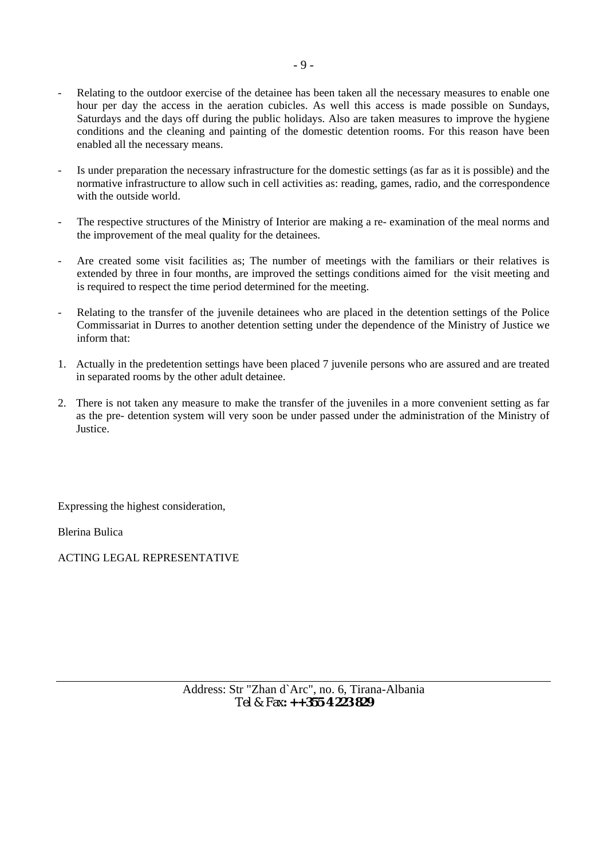- Relating to the outdoor exercise of the detainee has been taken all the necessary measures to enable one hour per day the access in the aeration cubicles. As well this access is made possible on Sundays, Saturdays and the days off during the public holidays. Also are taken measures to improve the hygiene conditions and the cleaning and painting of the domestic detention rooms. For this reason have been enabled all the necessary means.
- Is under preparation the necessary infrastructure for the domestic settings (as far as it is possible) and the normative infrastructure to allow such in cell activities as: reading, games, radio, and the correspondence with the outside world.
- The respective structures of the Ministry of Interior are making a re- examination of the meal norms and the improvement of the meal quality for the detainees.
- Are created some visit facilities as; The number of meetings with the familiars or their relatives is extended by three in four months, are improved the settings conditions aimed for the visit meeting and is required to respect the time period determined for the meeting.
- Relating to the transfer of the juvenile detainees who are placed in the detention settings of the Police Commissariat in Durres to another detention setting under the dependence of the Ministry of Justice we inform that:
- 1. Actually in the predetention settings have been placed 7 juvenile persons who are assured and are treated in separated rooms by the other adult detainee.
- 2. There is not taken any measure to make the transfer of the juveniles in a more convenient setting as far as the pre- detention system will very soon be under passed under the administration of the Ministry of Justice.

Expressing the highest consideration,

Blerina Bulica

ACTING LEGAL REPRESENTATIVE

Address: Str "Zhan d`Arc", no. 6, Tirana-Albania Tel & Fax**: ++355 4 223 829**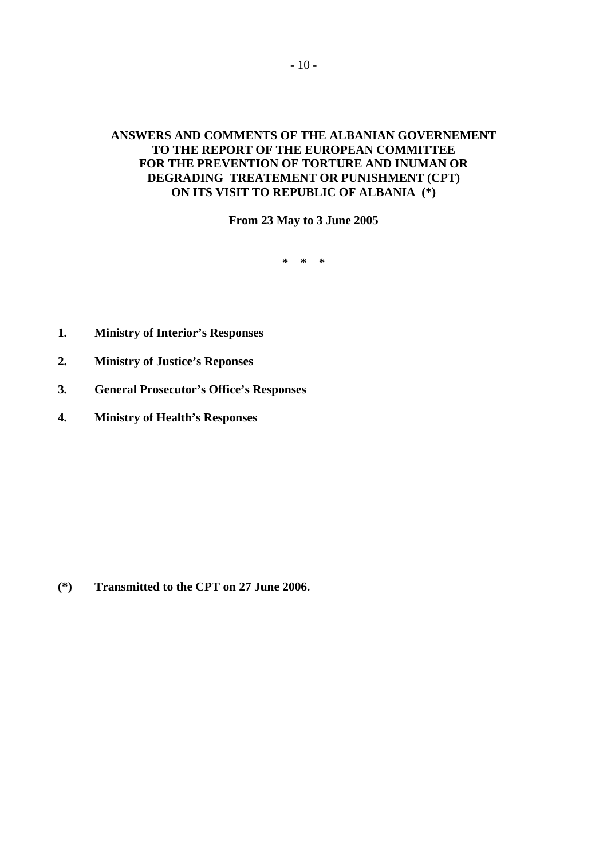## **ANSWERS AND COMMENTS OF THE ALBANIAN GOVERNEMENT TO THE REPORT OF THE EUROPEAN COMMITTEE FOR THE PREVENTION OF TORTURE AND INUMAN OR DEGRADING TREATEMENT OR PUNISHMENT (CPT) ON ITS VISIT TO REPUBLIC OF ALBANIA (\*)**

**From 23 May to 3 June 2005** 

**\* \* \*** 

- **1. Ministry of Interior's Responses**
- **2. Ministry of Justice's Reponses**
- **3. General Prosecutor's Office's Responses**
- **4. Ministry of Health's Responses**

**(\*) Transmitted to the CPT on 27 June 2006.**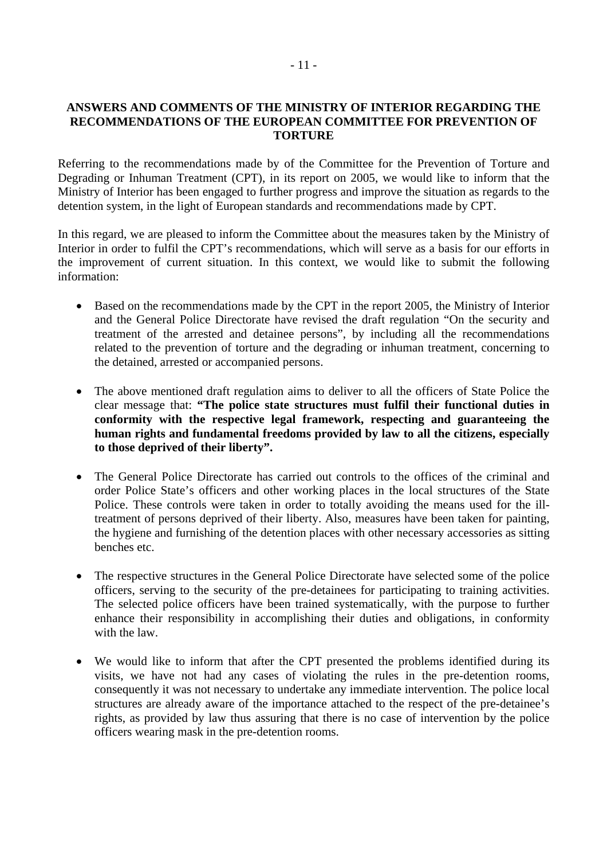#### **ANSWERS AND COMMENTS OF THE MINISTRY OF INTERIOR REGARDING THE RECOMMENDATIONS OF THE EUROPEAN COMMITTEE FOR PREVENTION OF TORTURE**

Referring to the recommendations made by of the Committee for the Prevention of Torture and Degrading or Inhuman Treatment (CPT), in its report on 2005, we would like to inform that the Ministry of Interior has been engaged to further progress and improve the situation as regards to the detention system, in the light of European standards and recommendations made by CPT.

In this regard, we are pleased to inform the Committee about the measures taken by the Ministry of Interior in order to fulfil the CPT's recommendations, which will serve as a basis for our efforts in the improvement of current situation. In this context, we would like to submit the following information:

- Based on the recommendations made by the CPT in the report 2005, the Ministry of Interior and the General Police Directorate have revised the draft regulation "On the security and treatment of the arrested and detainee persons", by including all the recommendations related to the prevention of torture and the degrading or inhuman treatment, concerning to the detained, arrested or accompanied persons.
- The above mentioned draft regulation aims to deliver to all the officers of State Police the clear message that: **"The police state structures must fulfil their functional duties in conformity with the respective legal framework, respecting and guaranteeing the human rights and fundamental freedoms provided by law to all the citizens, especially to those deprived of their liberty".**
- The General Police Directorate has carried out controls to the offices of the criminal and order Police State's officers and other working places in the local structures of the State Police. These controls were taken in order to totally avoiding the means used for the illtreatment of persons deprived of their liberty. Also, measures have been taken for painting, the hygiene and furnishing of the detention places with other necessary accessories as sitting benches etc.
- The respective structures in the General Police Directorate have selected some of the police officers, serving to the security of the pre-detainees for participating to training activities. The selected police officers have been trained systematically, with the purpose to further enhance their responsibility in accomplishing their duties and obligations, in conformity with the law.
- We would like to inform that after the CPT presented the problems identified during its visits, we have not had any cases of violating the rules in the pre-detention rooms, consequently it was not necessary to undertake any immediate intervention. The police local structures are already aware of the importance attached to the respect of the pre-detainee's rights, as provided by law thus assuring that there is no case of intervention by the police officers wearing mask in the pre-detention rooms.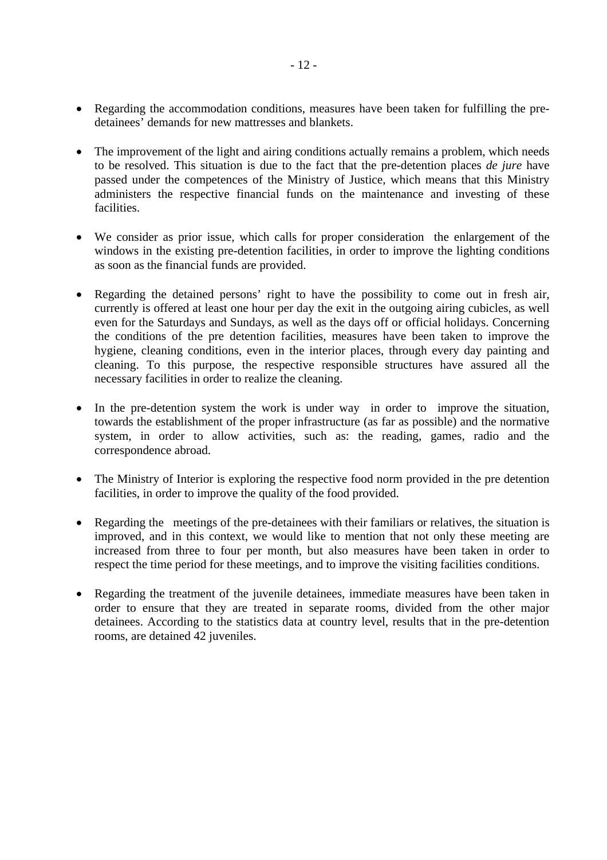- Regarding the accommodation conditions, measures have been taken for fulfilling the predetainees' demands for new mattresses and blankets.
- The improvement of the light and airing conditions actually remains a problem, which needs to be resolved. This situation is due to the fact that the pre-detention places *de jure* have passed under the competences of the Ministry of Justice, which means that this Ministry administers the respective financial funds on the maintenance and investing of these facilities.
- We consider as prior issue, which calls for proper consideration the enlargement of the windows in the existing pre-detention facilities, in order to improve the lighting conditions as soon as the financial funds are provided.
- Regarding the detained persons' right to have the possibility to come out in fresh air, currently is offered at least one hour per day the exit in the outgoing airing cubicles, as well even for the Saturdays and Sundays, as well as the days off or official holidays. Concerning the conditions of the pre detention facilities, measures have been taken to improve the hygiene, cleaning conditions, even in the interior places, through every day painting and cleaning. To this purpose, the respective responsible structures have assured all the necessary facilities in order to realize the cleaning.
- In the pre-detention system the work is under way in order to improve the situation, towards the establishment of the proper infrastructure (as far as possible) and the normative system, in order to allow activities, such as: the reading, games, radio and the correspondence abroad.
- The Ministry of Interior is exploring the respective food norm provided in the pre detention facilities, in order to improve the quality of the food provided.
- Regarding the meetings of the pre-detainees with their familiars or relatives, the situation is improved, and in this context, we would like to mention that not only these meeting are increased from three to four per month, but also measures have been taken in order to respect the time period for these meetings, and to improve the visiting facilities conditions.
- Regarding the treatment of the juvenile detainees, immediate measures have been taken in order to ensure that they are treated in separate rooms, divided from the other major detainees. According to the statistics data at country level, results that in the pre-detention rooms, are detained 42 juveniles.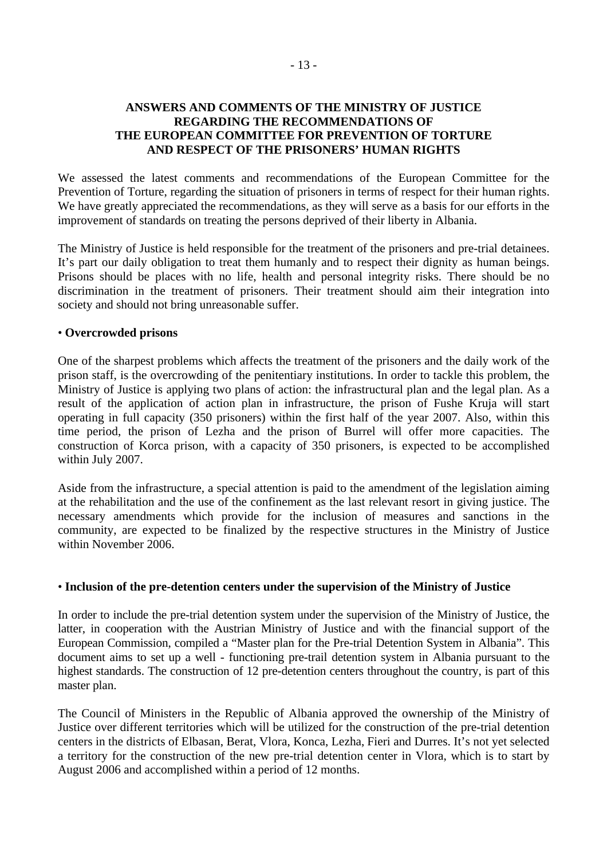- 13 -

#### **ANSWERS AND COMMENTS OF THE MINISTRY OF JUSTICE REGARDING THE RECOMMENDATIONS OF THE EUROPEAN COMMITTEE FOR PREVENTION OF TORTURE AND RESPECT OF THE PRISONERS' HUMAN RIGHTS**

We assessed the latest comments and recommendations of the European Committee for the Prevention of Torture, regarding the situation of prisoners in terms of respect for their human rights. We have greatly appreciated the recommendations, as they will serve as a basis for our efforts in the improvement of standards on treating the persons deprived of their liberty in Albania.

The Ministry of Justice is held responsible for the treatment of the prisoners and pre-trial detainees. It's part our daily obligation to treat them humanly and to respect their dignity as human beings. Prisons should be places with no life, health and personal integrity risks. There should be no discrimination in the treatment of prisoners. Their treatment should aim their integration into society and should not bring unreasonable suffer.

#### • **Overcrowded prisons**

One of the sharpest problems which affects the treatment of the prisoners and the daily work of the prison staff, is the overcrowding of the penitentiary institutions. In order to tackle this problem, the Ministry of Justice is applying two plans of action: the infrastructural plan and the legal plan. As a result of the application of action plan in infrastructure, the prison of Fushe Kruja will start operating in full capacity (350 prisoners) within the first half of the year 2007. Also, within this time period, the prison of Lezha and the prison of Burrel will offer more capacities. The construction of Korca prison, with a capacity of 350 prisoners, is expected to be accomplished within July 2007.

Aside from the infrastructure, a special attention is paid to the amendment of the legislation aiming at the rehabilitation and the use of the confinement as the last relevant resort in giving justice. The necessary amendments which provide for the inclusion of measures and sanctions in the community, are expected to be finalized by the respective structures in the Ministry of Justice within November 2006.

#### • **Inclusion of the pre-detention centers under the supervision of the Ministry of Justice**

In order to include the pre-trial detention system under the supervision of the Ministry of Justice, the latter, in cooperation with the Austrian Ministry of Justice and with the financial support of the European Commission, compiled a "Master plan for the Pre-trial Detention System in Albania". This document aims to set up a well - functioning pre-trail detention system in Albania pursuant to the highest standards. The construction of 12 pre-detention centers throughout the country, is part of this master plan.

The Council of Ministers in the Republic of Albania approved the ownership of the Ministry of Justice over different territories which will be utilized for the construction of the pre-trial detention centers in the districts of Elbasan, Berat, Vlora, Konca, Lezha, Fieri and Durres. It's not yet selected a territory for the construction of the new pre-trial detention center in Vlora, which is to start by August 2006 and accomplished within a period of 12 months.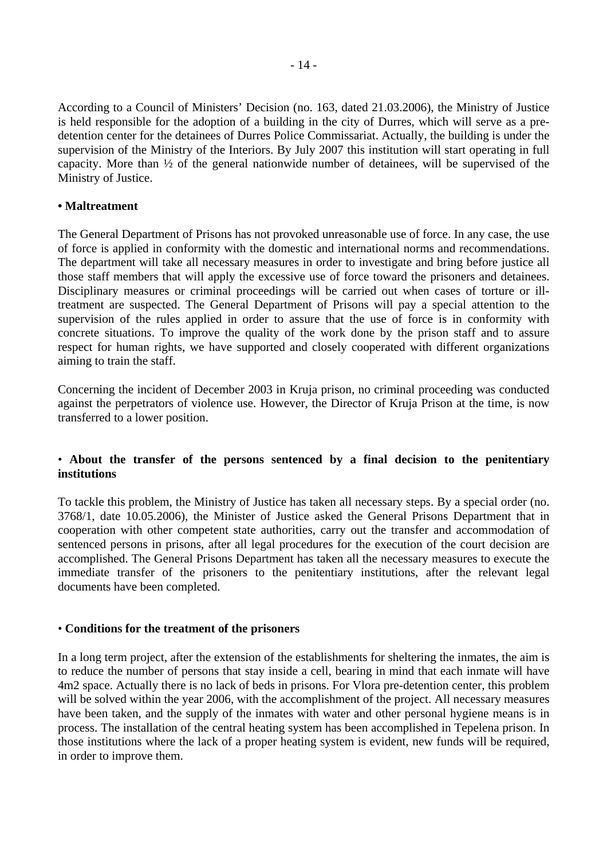According to a Council of Ministers' Decision (no. 163, dated 21.03.2006), the Ministry of Justice is held responsible for the adoption of a building in the city of Durres, which will serve as a predetention center for the detainees of Durres Police Commissariat. Actually, the building is under the supervision of the Ministry of the Interiors. By July 2007 this institution will start operating in full capacity. More than ½ of the general nationwide number of detainees, will be supervised of the Ministry of Justice.

#### **• Maltreatment**

The General Department of Prisons has not provoked unreasonable use of force. In any case, the use of force is applied in conformity with the domestic and international norms and recommendations. The department will take all necessary measures in order to investigate and bring before justice all those staff members that will apply the excessive use of force toward the prisoners and detainees. Disciplinary measures or criminal proceedings will be carried out when cases of torture or illtreatment are suspected. The General Department of Prisons will pay a special attention to the supervision of the rules applied in order to assure that the use of force is in conformity with concrete situations. To improve the quality of the work done by the prison staff and to assure respect for human rights, we have supported and closely cooperated with different organizations aiming to train the staff.

Concerning the incident of December 2003 in Kruja prison, no criminal proceeding was conducted against the perpetrators of violence use. However, the Director of Kruja Prison at the time, is now transferred to a lower position.

## • **About the transfer of the persons sentenced by a final decision to the penitentiary institutions**

To tackle this problem, the Ministry of Justice has taken all necessary steps. By a special order (no. 3768/1, date 10.05.2006), the Minister of Justice asked the General Prisons Department that in cooperation with other competent state authorities, carry out the transfer and accommodation of sentenced persons in prisons, after all legal procedures for the execution of the court decision are accomplished. The General Prisons Department has taken all the necessary measures to execute the immediate transfer of the prisoners to the penitentiary institutions, after the relevant legal documents have been completed.

#### • **Conditions for the treatment of the prisoners**

In a long term project, after the extension of the establishments for sheltering the inmates, the aim is to reduce the number of persons that stay inside a cell, bearing in mind that each inmate will have 4m2 space. Actually there is no lack of beds in prisons. For Vlora pre-detention center, this problem will be solved within the year 2006, with the accomplishment of the project. All necessary measures have been taken, and the supply of the inmates with water and other personal hygiene means is in process. The installation of the central heating system has been accomplished in Tepelena prison. In those institutions where the lack of a proper heating system is evident, new funds will be required, in order to improve them.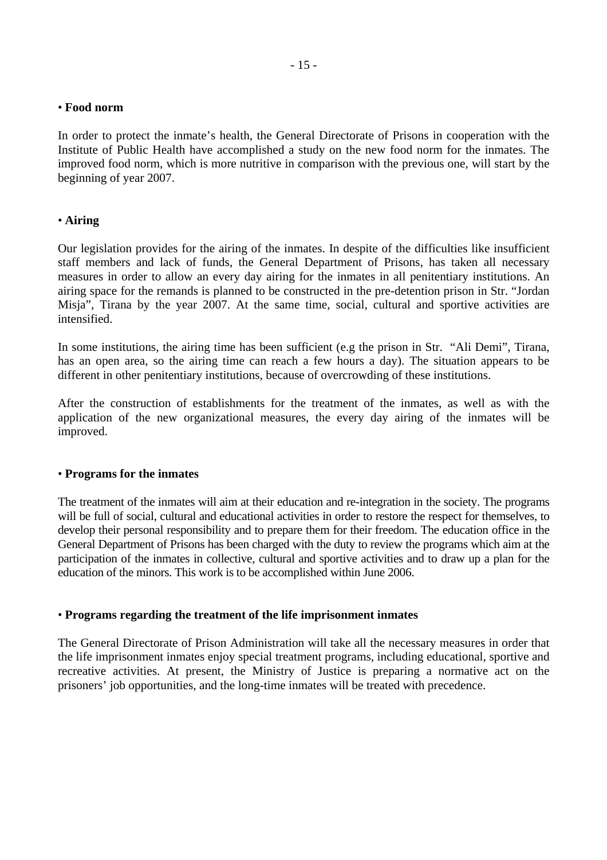#### • **Food norm**

In order to protect the inmate's health, the General Directorate of Prisons in cooperation with the Institute of Public Health have accomplished a study on the new food norm for the inmates. The improved food norm, which is more nutritive in comparison with the previous one, will start by the beginning of year 2007.

#### • **Airing**

Our legislation provides for the airing of the inmates. In despite of the difficulties like insufficient staff members and lack of funds, the General Department of Prisons, has taken all necessary measures in order to allow an every day airing for the inmates in all penitentiary institutions. An airing space for the remands is planned to be constructed in the pre-detention prison in Str. "Jordan Misja", Tirana by the year 2007. At the same time, social, cultural and sportive activities are intensified.

In some institutions, the airing time has been sufficient (e.g the prison in Str. "Ali Demi", Tirana, has an open area, so the airing time can reach a few hours a day). The situation appears to be different in other penitentiary institutions, because of overcrowding of these institutions.

After the construction of establishments for the treatment of the inmates, as well as with the application of the new organizational measures, the every day airing of the inmates will be improved.

#### • **Programs for the inmates**

The treatment of the inmates will aim at their education and re-integration in the society. The programs will be full of social, cultural and educational activities in order to restore the respect for themselves, to develop their personal responsibility and to prepare them for their freedom. The education office in the General Department of Prisons has been charged with the duty to review the programs which aim at the participation of the inmates in collective, cultural and sportive activities and to draw up a plan for the education of the minors. This work is to be accomplished within June 2006.

#### • **Programs regarding the treatment of the life imprisonment inmates**

The General Directorate of Prison Administration will take all the necessary measures in order that the life imprisonment inmates enjoy special treatment programs, including educational, sportive and recreative activities. At present, the Ministry of Justice is preparing a normative act on the prisoners' job opportunities, and the long-time inmates will be treated with precedence.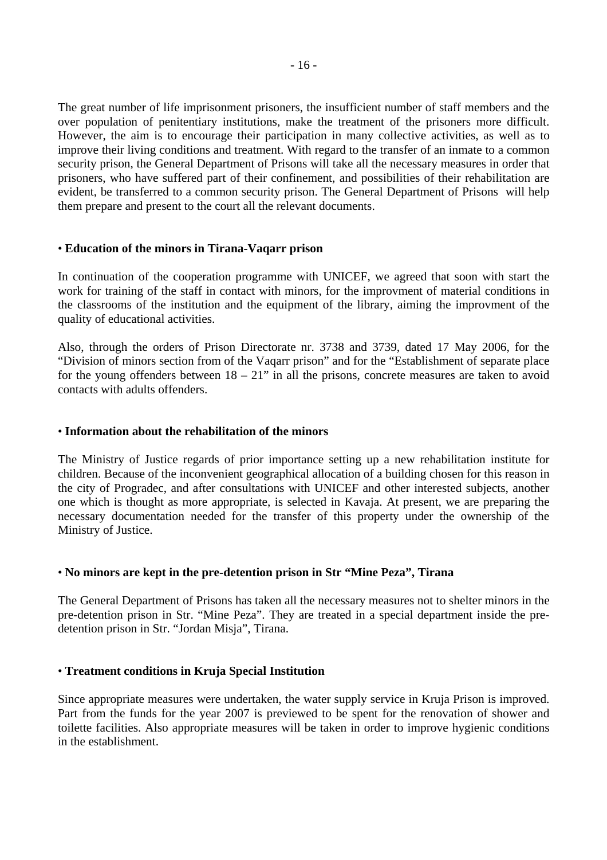The great number of life imprisonment prisoners, the insufficient number of staff members and the over population of penitentiary institutions, make the treatment of the prisoners more difficult. However, the aim is to encourage their participation in many collective activities, as well as to improve their living conditions and treatment. With regard to the transfer of an inmate to a common security prison, the General Department of Prisons will take all the necessary measures in order that prisoners, who have suffered part of their confinement, and possibilities of their rehabilitation are evident, be transferred to a common security prison. The General Department of Prisons will help them prepare and present to the court all the relevant documents.

#### • **Education of the minors in Tirana-Vaqarr prison**

In continuation of the cooperation programme with UNICEF, we agreed that soon with start the work for training of the staff in contact with minors, for the improvment of material conditions in the classrooms of the institution and the equipment of the library, aiming the improvment of the quality of educational activities.

Also, through the orders of Prison Directorate nr. 3738 and 3739, dated 17 May 2006, for the "Division of minors section from of the Vaqarr prison" and for the "Establishment of separate place for the young offenders between  $18 - 21$ " in all the prisons, concrete measures are taken to avoid contacts with adults offenders.

#### • **Information about the rehabilitation of the minors**

The Ministry of Justice regards of prior importance setting up a new rehabilitation institute for children. Because of the inconvenient geographical allocation of a building chosen for this reason in the city of Progradec, and after consultations with UNICEF and other interested subjects, another one which is thought as more appropriate, is selected in Kavaja. At present, we are preparing the necessary documentation needed for the transfer of this property under the ownership of the Ministry of Justice.

#### • **No minors are kept in the pre-detention prison in Str "Mine Peza", Tirana**

The General Department of Prisons has taken all the necessary measures not to shelter minors in the pre-detention prison in Str. "Mine Peza". They are treated in a special department inside the predetention prison in Str. "Jordan Misja", Tirana.

#### • **Treatment conditions in Kruja Special Institution**

Since appropriate measures were undertaken, the water supply service in Kruja Prison is improved. Part from the funds for the year 2007 is previewed to be spent for the renovation of shower and toilette facilities. Also appropriate measures will be taken in order to improve hygienic conditions in the establishment.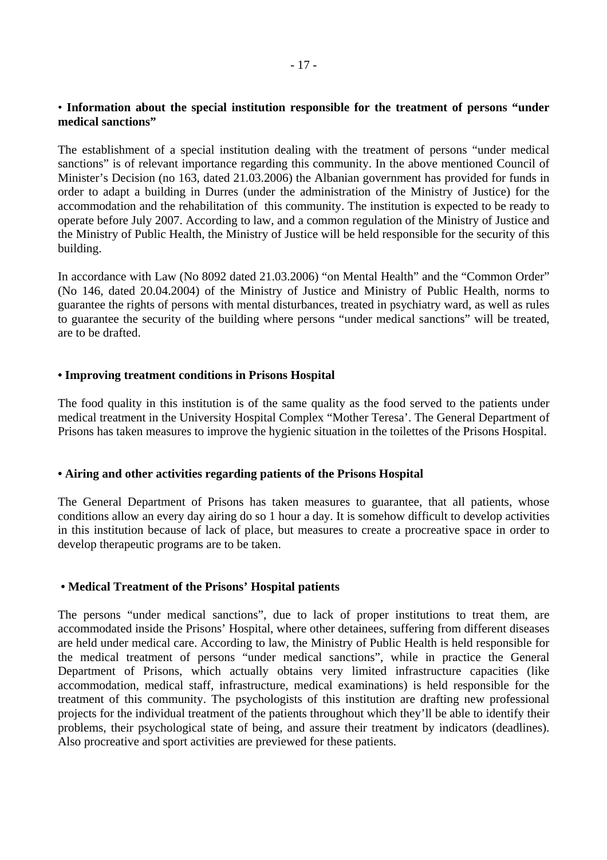#### • **Information about the special institution responsible for the treatment of persons "under medical sanctions"**

The establishment of a special institution dealing with the treatment of persons "under medical sanctions" is of relevant importance regarding this community. In the above mentioned Council of Minister's Decision (no 163, dated 21.03.2006) the Albanian government has provided for funds in order to adapt a building in Durres (under the administration of the Ministry of Justice) for the accommodation and the rehabilitation of this community. The institution is expected to be ready to operate before July 2007. According to law, and a common regulation of the Ministry of Justice and the Ministry of Public Health, the Ministry of Justice will be held responsible for the security of this building.

In accordance with Law (No 8092 dated 21.03.2006) "on Mental Health" and the "Common Order" (No 146, dated 20.04.2004) of the Ministry of Justice and Ministry of Public Health, norms to guarantee the rights of persons with mental disturbances, treated in psychiatry ward, as well as rules to guarantee the security of the building where persons "under medical sanctions" will be treated, are to be drafted.

#### **• Improving treatment conditions in Prisons Hospital**

The food quality in this institution is of the same quality as the food served to the patients under medical treatment in the University Hospital Complex "Mother Teresa'. The General Department of Prisons has taken measures to improve the hygienic situation in the toilettes of the Prisons Hospital.

#### **• Airing and other activities regarding patients of the Prisons Hospital**

The General Department of Prisons has taken measures to guarantee, that all patients, whose conditions allow an every day airing do so 1 hour a day. It is somehow difficult to develop activities in this institution because of lack of place, but measures to create a procreative space in order to develop therapeutic programs are to be taken.

#### **• Medical Treatment of the Prisons' Hospital patients**

The persons "under medical sanctions", due to lack of proper institutions to treat them, are accommodated inside the Prisons' Hospital, where other detainees, suffering from different diseases are held under medical care. According to law, the Ministry of Public Health is held responsible for the medical treatment of persons "under medical sanctions", while in practice the General Department of Prisons, which actually obtains very limited infrastructure capacities (like accommodation, medical staff, infrastructure, medical examinations) is held responsible for the treatment of this community. The psychologists of this institution are drafting new professional projects for the individual treatment of the patients throughout which they'll be able to identify their problems, their psychological state of being, and assure their treatment by indicators (deadlines). Also procreative and sport activities are previewed for these patients.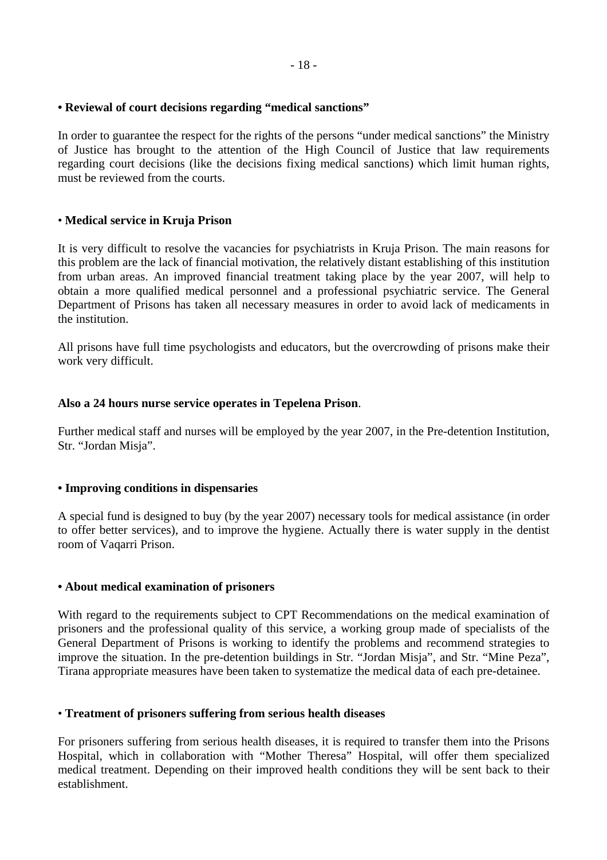## **• Reviewal of court decisions regarding "medical sanctions"**

In order to guarantee the respect for the rights of the persons "under medical sanctions" the Ministry of Justice has brought to the attention of the High Council of Justice that law requirements regarding court decisions (like the decisions fixing medical sanctions) which limit human rights, must be reviewed from the courts.

## • **Medical service in Kruja Prison**

It is very difficult to resolve the vacancies for psychiatrists in Kruja Prison. The main reasons for this problem are the lack of financial motivation, the relatively distant establishing of this institution from urban areas. An improved financial treatment taking place by the year 2007, will help to obtain a more qualified medical personnel and a professional psychiatric service. The General Department of Prisons has taken all necessary measures in order to avoid lack of medicaments in the institution.

All prisons have full time psychologists and educators, but the overcrowding of prisons make their work very difficult.

## **Also a 24 hours nurse service operates in Tepelena Prison**.

Further medical staff and nurses will be employed by the year 2007, in the Pre-detention Institution, Str. "Jordan Misja".

#### **• Improving conditions in dispensaries**

A special fund is designed to buy (by the year 2007) necessary tools for medical assistance (in order to offer better services), and to improve the hygiene. Actually there is water supply in the dentist room of Vaqarri Prison.

#### **• About medical examination of prisoners**

With regard to the requirements subject to CPT Recommendations on the medical examination of prisoners and the professional quality of this service, a working group made of specialists of the General Department of Prisons is working to identify the problems and recommend strategies to improve the situation. In the pre-detention buildings in Str. "Jordan Misja", and Str. "Mine Peza", Tirana appropriate measures have been taken to systematize the medical data of each pre-detainee.

## • **Treatment of prisoners suffering from serious health diseases**

For prisoners suffering from serious health diseases, it is required to transfer them into the Prisons Hospital, which in collaboration with "Mother Theresa" Hospital, will offer them specialized medical treatment. Depending on their improved health conditions they will be sent back to their establishment.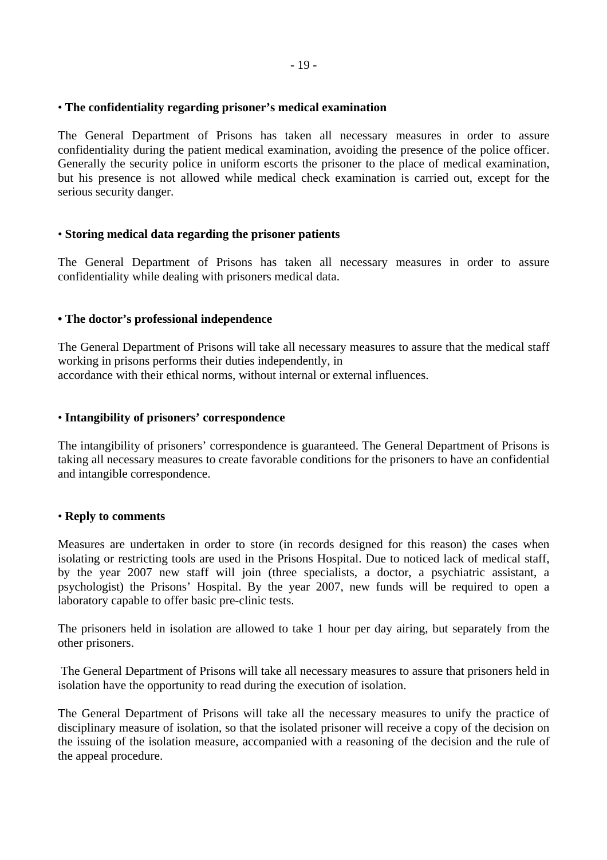## • **The confidentiality regarding prisoner's medical examination**

The General Department of Prisons has taken all necessary measures in order to assure confidentiality during the patient medical examination, avoiding the presence of the police officer. Generally the security police in uniform escorts the prisoner to the place of medical examination, but his presence is not allowed while medical check examination is carried out, except for the serious security danger.

## • **Storing medical data regarding the prisoner patients**

The General Department of Prisons has taken all necessary measures in order to assure confidentiality while dealing with prisoners medical data.

## **• The doctor's professional independence**

The General Department of Prisons will take all necessary measures to assure that the medical staff working in prisons performs their duties independently, in accordance with their ethical norms, without internal or external influences.

#### • **Intangibility of prisoners' correspondence**

The intangibility of prisoners' correspondence is guaranteed. The General Department of Prisons is taking all necessary measures to create favorable conditions for the prisoners to have an confidential and intangible correspondence.

#### • **Reply to comments**

Measures are undertaken in order to store (in records designed for this reason) the cases when isolating or restricting tools are used in the Prisons Hospital. Due to noticed lack of medical staff, by the year 2007 new staff will join (three specialists, a doctor, a psychiatric assistant, a psychologist) the Prisons' Hospital. By the year 2007, new funds will be required to open a laboratory capable to offer basic pre-clinic tests.

The prisoners held in isolation are allowed to take 1 hour per day airing, but separately from the other prisoners.

 The General Department of Prisons will take all necessary measures to assure that prisoners held in isolation have the opportunity to read during the execution of isolation.

The General Department of Prisons will take all the necessary measures to unify the practice of disciplinary measure of isolation, so that the isolated prisoner will receive a copy of the decision on the issuing of the isolation measure, accompanied with a reasoning of the decision and the rule of the appeal procedure.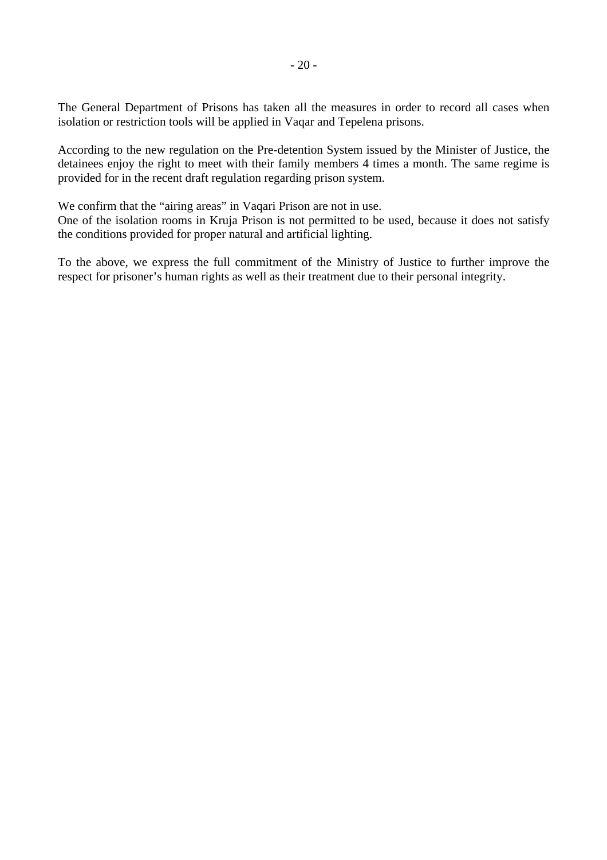The General Department of Prisons has taken all the measures in order to record all cases when isolation or restriction tools will be applied in Vaqar and Tepelena prisons.

According to the new regulation on the Pre-detention System issued by the Minister of Justice, the detainees enjoy the right to meet with their family members 4 times a month. The same regime is provided for in the recent draft regulation regarding prison system.

We confirm that the "airing areas" in Vaqari Prison are not in use.

One of the isolation rooms in Kruja Prison is not permitted to be used, because it does not satisfy the conditions provided for proper natural and artificial lighting.

To the above, we express the full commitment of the Ministry of Justice to further improve the respect for prisoner's human rights as well as their treatment due to their personal integrity.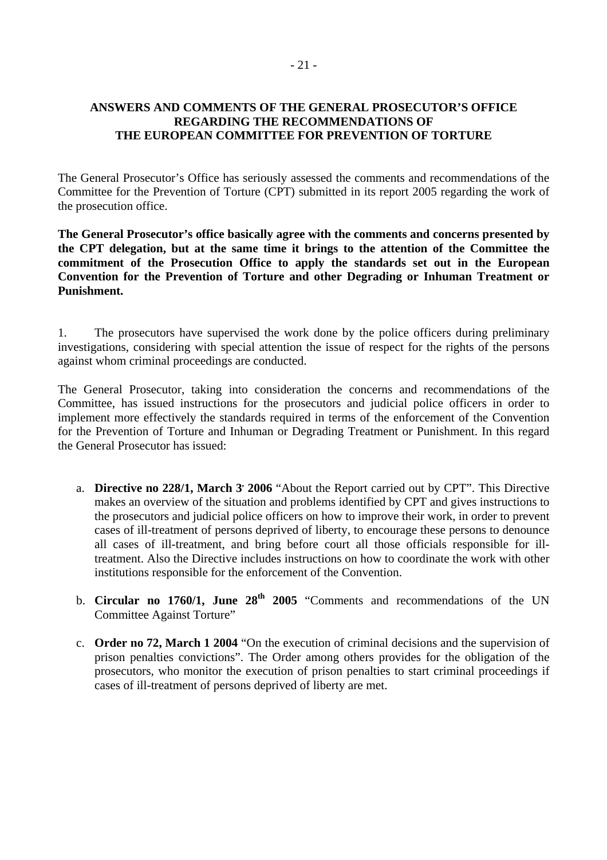#### **ANSWERS AND COMMENTS OF THE GENERAL PROSECUTOR'S OFFICE REGARDING THE RECOMMENDATIONS OF THE EUROPEAN COMMITTEE FOR PREVENTION OF TORTURE**

The General Prosecutor's Office has seriously assessed the comments and recommendations of the Committee for the Prevention of Torture (CPT) submitted in its report 2005 regarding the work of the prosecution office.

**The General Prosecutor's office basically agree with the comments and concerns presented by the CPT delegation, but at the same time it brings to the attention of the Committee the commitment of the Prosecution Office to apply the standards set out in the European Convention for the Prevention of Torture and other Degrading or Inhuman Treatment or Punishment.** 

1. The prosecutors have supervised the work done by the police officers during preliminary investigations, considering with special attention the issue of respect for the rights of the persons against whom criminal proceedings are conducted.

The General Prosecutor, taking into consideration the concerns and recommendations of the Committee, has issued instructions for the prosecutors and judicial police officers in order to implement more effectively the standards required in terms of the enforcement of the Convention for the Prevention of Torture and Inhuman or Degrading Treatment or Punishment. In this regard the General Prosecutor has issued:

- a. **Directive no 228/1, March 3' 2006** "About the Report carried out by CPT". This Directive makes an overview of the situation and problems identified by CPT and gives instructions to the prosecutors and judicial police officers on how to improve their work, in order to prevent cases of ill-treatment of persons deprived of liberty, to encourage these persons to denounce all cases of ill-treatment, and bring before court all those officials responsible for illtreatment. Also the Directive includes instructions on how to coordinate the work with other institutions responsible for the enforcement of the Convention.
- b. **Circular no 1760/1, June 28<sup>th</sup> 2005** "Comments and recommendations of the UN Committee Against Torture"
- c. **Order no 72, March 1 2004** "On the execution of criminal decisions and the supervision of prison penalties convictions". The Order among others provides for the obligation of the prosecutors, who monitor the execution of prison penalties to start criminal proceedings if cases of ill-treatment of persons deprived of liberty are met.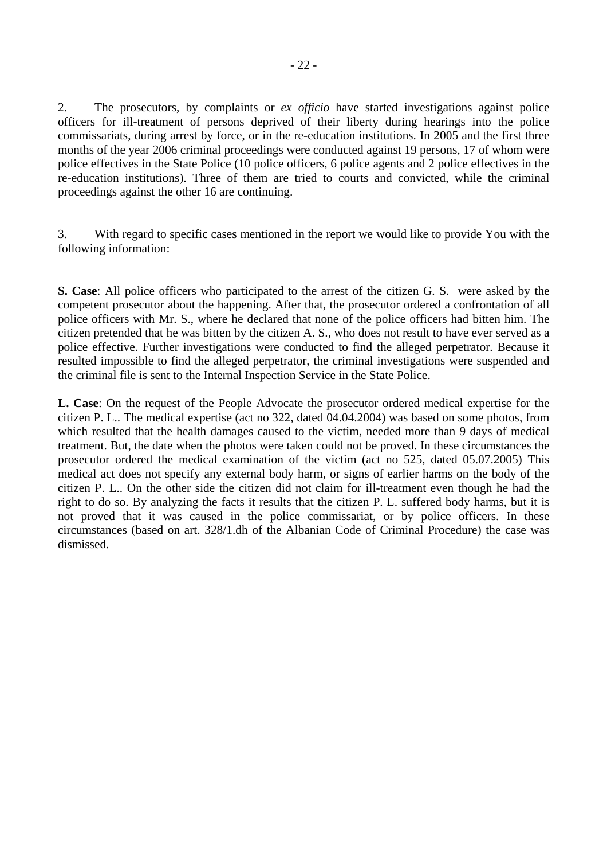2. The prosecutors, by complaints or *ex officio* have started investigations against police officers for ill-treatment of persons deprived of their liberty during hearings into the police commissariats, during arrest by force, or in the re-education institutions. In 2005 and the first three months of the year 2006 criminal proceedings were conducted against 19 persons, 17 of whom were police effectives in the State Police (10 police officers, 6 police agents and 2 police effectives in the re-education institutions). Three of them are tried to courts and convicted, while the criminal proceedings against the other 16 are continuing.

3. With regard to specific cases mentioned in the report we would like to provide You with the following information:

**S. Case**: All police officers who participated to the arrest of the citizen G. S. were asked by the competent prosecutor about the happening. After that, the prosecutor ordered a confrontation of all police officers with Mr. S., where he declared that none of the police officers had bitten him. The citizen pretended that he was bitten by the citizen A. S., who does not result to have ever served as a police effective. Further investigations were conducted to find the alleged perpetrator. Because it resulted impossible to find the alleged perpetrator, the criminal investigations were suspended and the criminal file is sent to the Internal Inspection Service in the State Police.

**L. Case**: On the request of the People Advocate the prosecutor ordered medical expertise for the citizen P. L.. The medical expertise (act no 322, dated 04.04.2004) was based on some photos, from which resulted that the health damages caused to the victim, needed more than 9 days of medical treatment. But, the date when the photos were taken could not be proved. In these circumstances the prosecutor ordered the medical examination of the victim (act no 525, dated 05.07.2005) This medical act does not specify any external body harm, or signs of earlier harms on the body of the citizen P. L.. On the other side the citizen did not claim for ill-treatment even though he had the right to do so. By analyzing the facts it results that the citizen P. L. suffered body harms, but it is not proved that it was caused in the police commissariat, or by police officers. In these circumstances (based on art. 328/1.dh of the Albanian Code of Criminal Procedure) the case was dismissed.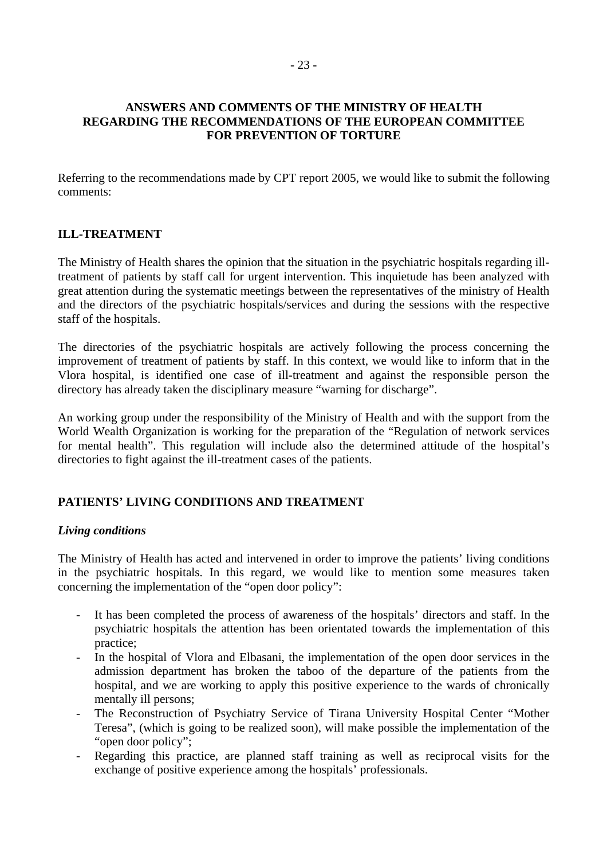#### **ANSWERS AND COMMENTS OF THE MINISTRY OF HEALTH REGARDING THE RECOMMENDATIONS OF THE EUROPEAN COMMITTEE FOR PREVENTION OF TORTURE**

Referring to the recommendations made by CPT report 2005, we would like to submit the following comments:

# **ILL-TREATMENT**

The Ministry of Health shares the opinion that the situation in the psychiatric hospitals regarding illtreatment of patients by staff call for urgent intervention. This inquietude has been analyzed with great attention during the systematic meetings between the representatives of the ministry of Health and the directors of the psychiatric hospitals/services and during the sessions with the respective staff of the hospitals.

The directories of the psychiatric hospitals are actively following the process concerning the improvement of treatment of patients by staff. In this context, we would like to inform that in the Vlora hospital, is identified one case of ill-treatment and against the responsible person the directory has already taken the disciplinary measure "warning for discharge".

An working group under the responsibility of the Ministry of Health and with the support from the World Wealth Organization is working for the preparation of the "Regulation of network services for mental health". This regulation will include also the determined attitude of the hospital's directories to fight against the ill-treatment cases of the patients.

## **PATIENTS' LIVING CONDITIONS AND TREATMENT**

#### *Living conditions*

The Ministry of Health has acted and intervened in order to improve the patients' living conditions in the psychiatric hospitals. In this regard, we would like to mention some measures taken concerning the implementation of the "open door policy":

- It has been completed the process of awareness of the hospitals' directors and staff. In the psychiatric hospitals the attention has been orientated towards the implementation of this practice;
- In the hospital of Vlora and Elbasani, the implementation of the open door services in the admission department has broken the taboo of the departure of the patients from the hospital, and we are working to apply this positive experience to the wards of chronically mentally ill persons;
- The Reconstruction of Psychiatry Service of Tirana University Hospital Center "Mother Teresa", (which is going to be realized soon), will make possible the implementation of the "open door policy";
- Regarding this practice, are planned staff training as well as reciprocal visits for the exchange of positive experience among the hospitals' professionals.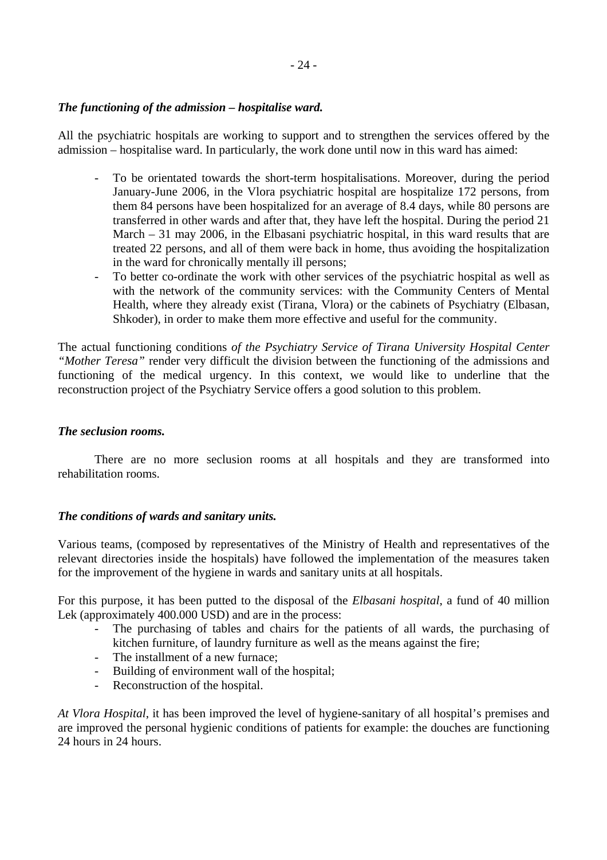## *The functioning of the admission – hospitalise ward.*

All the psychiatric hospitals are working to support and to strengthen the services offered by the admission – hospitalise ward. In particularly, the work done until now in this ward has aimed:

- To be orientated towards the short-term hospitalisations. Moreover, during the period January-June 2006, in the Vlora psychiatric hospital are hospitalize 172 persons, from them 84 persons have been hospitalized for an average of 8.4 days, while 80 persons are transferred in other wards and after that, they have left the hospital. During the period 21 March – 31 may 2006, in the Elbasani psychiatric hospital, in this ward results that are treated 22 persons, and all of them were back in home, thus avoiding the hospitalization in the ward for chronically mentally ill persons;
- To better co-ordinate the work with other services of the psychiatric hospital as well as with the network of the community services: with the Community Centers of Mental Health, where they already exist (Tirana, Vlora) or the cabinets of Psychiatry (Elbasan, Shkoder), in order to make them more effective and useful for the community.

The actual functioning conditions *of the Psychiatry Service of Tirana University Hospital Center "Mother Teresa"* render very difficult the division between the functioning of the admissions and functioning of the medical urgency. In this context, we would like to underline that the reconstruction project of the Psychiatry Service offers a good solution to this problem.

#### *The seclusion rooms.*

There are no more seclusion rooms at all hospitals and they are transformed into rehabilitation rooms.

#### *The conditions of wards and sanitary units.*

Various teams, (composed by representatives of the Ministry of Health and representatives of the relevant directories inside the hospitals) have followed the implementation of the measures taken for the improvement of the hygiene in wards and sanitary units at all hospitals.

For this purpose, it has been putted to the disposal of the *Elbasani hospital*, a fund of 40 million Lek (approximately 400.000 USD) and are in the process:

- The purchasing of tables and chairs for the patients of all wards, the purchasing of kitchen furniture, of laundry furniture as well as the means against the fire;
- The installment of a new furnace;
- Building of environment wall of the hospital;
- Reconstruction of the hospital.

*At Vlora Hospital*, it has been improved the level of hygiene-sanitary of all hospital's premises and are improved the personal hygienic conditions of patients for example: the douches are functioning 24 hours in 24 hours.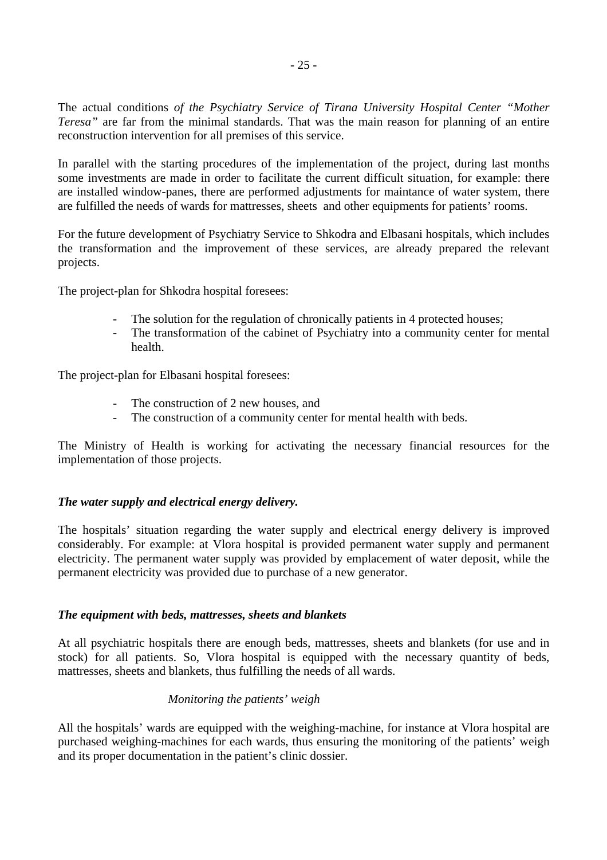The actual conditions *of the Psychiatry Service of Tirana University Hospital Center "Mother Teresa"* are far from the minimal standards. That was the main reason for planning of an entire reconstruction intervention for all premises of this service.

In parallel with the starting procedures of the implementation of the project, during last months some investments are made in order to facilitate the current difficult situation, for example: there are installed window-panes, there are performed adjustments for maintance of water system, there are fulfilled the needs of wards for mattresses, sheets and other equipments for patients' rooms.

For the future development of Psychiatry Service to Shkodra and Elbasani hospitals, which includes the transformation and the improvement of these services, are already prepared the relevant projects.

The project-plan for Shkodra hospital foresees:

- The solution for the regulation of chronically patients in 4 protected houses;
- The transformation of the cabinet of Psychiatry into a community center for mental health.

The project-plan for Elbasani hospital foresees:

- The construction of 2 new houses, and
- The construction of a community center for mental health with beds.

The Ministry of Health is working for activating the necessary financial resources for the implementation of those projects.

#### *The water supply and electrical energy delivery.*

The hospitals' situation regarding the water supply and electrical energy delivery is improved considerably. For example: at Vlora hospital is provided permanent water supply and permanent electricity. The permanent water supply was provided by emplacement of water deposit, while the permanent electricity was provided due to purchase of a new generator.

#### *The equipment with beds, mattresses, sheets and blankets*

At all psychiatric hospitals there are enough beds, mattresses, sheets and blankets (for use and in stock) for all patients. So, Vlora hospital is equipped with the necessary quantity of beds, mattresses, sheets and blankets, thus fulfilling the needs of all wards.

#### *Monitoring the patients' weigh*

All the hospitals' wards are equipped with the weighing-machine, for instance at Vlora hospital are purchased weighing-machines for each wards, thus ensuring the monitoring of the patients' weigh and its proper documentation in the patient's clinic dossier.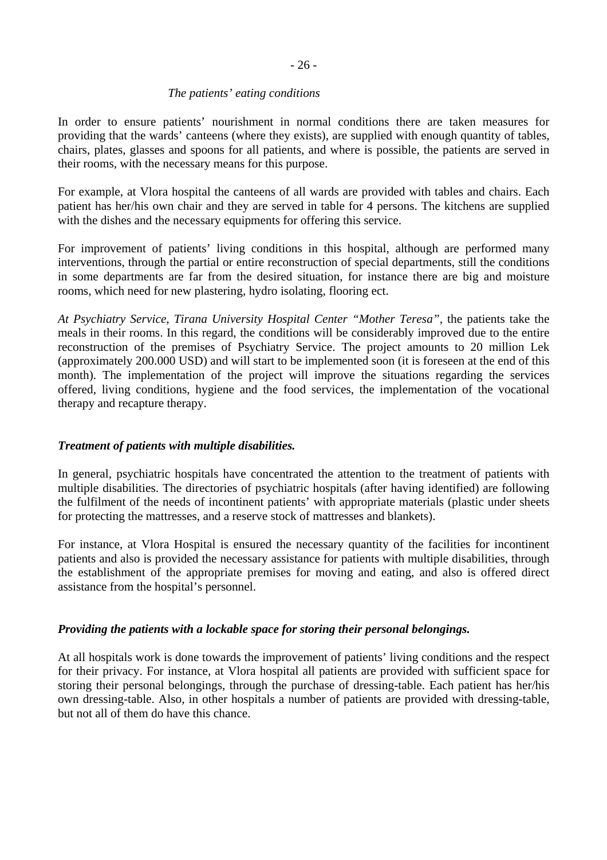#### *The patients' eating conditions*

In order to ensure patients' nourishment in normal conditions there are taken measures for providing that the wards' canteens (where they exists), are supplied with enough quantity of tables, chairs, plates, glasses and spoons for all patients, and where is possible, the patients are served in their rooms, with the necessary means for this purpose.

For example, at Vlora hospital the canteens of all wards are provided with tables and chairs. Each patient has her/his own chair and they are served in table for 4 persons. The kitchens are supplied with the dishes and the necessary equipments for offering this service.

For improvement of patients' living conditions in this hospital, although are performed many interventions, through the partial or entire reconstruction of special departments, still the conditions in some departments are far from the desired situation, for instance there are big and moisture rooms, which need for new plastering, hydro isolating, flooring ect.

*At Psychiatry Service*, *Tirana University Hospital Center "Mother Teresa",* the patients take the meals in their rooms. In this regard, the conditions will be considerably improved due to the entire reconstruction of the premises of Psychiatry Service. The project amounts to 20 million Lek (approximately 200.000 USD) and will start to be implemented soon (it is foreseen at the end of this month). The implementation of the project will improve the situations regarding the services offered, living conditions, hygiene and the food services, the implementation of the vocational therapy and recapture therapy.

## *Treatment of patients with multiple disabilities.*

In general, psychiatric hospitals have concentrated the attention to the treatment of patients with multiple disabilities. The directories of psychiatric hospitals (after having identified) are following the fulfilment of the needs of incontinent patients' with appropriate materials (plastic under sheets for protecting the mattresses, and a reserve stock of mattresses and blankets).

For instance, at Vlora Hospital is ensured the necessary quantity of the facilities for incontinent patients and also is provided the necessary assistance for patients with multiple disabilities, through the establishment of the appropriate premises for moving and eating, and also is offered direct assistance from the hospital's personnel.

## *Providing the patients with a lockable space for storing their personal belongings.*

At all hospitals work is done towards the improvement of patients' living conditions and the respect for their privacy. For instance, at Vlora hospital all patients are provided with sufficient space for storing their personal belongings, through the purchase of dressing-table. Each patient has her/his own dressing-table. Also, in other hospitals a number of patients are provided with dressing-table, but not all of them do have this chance.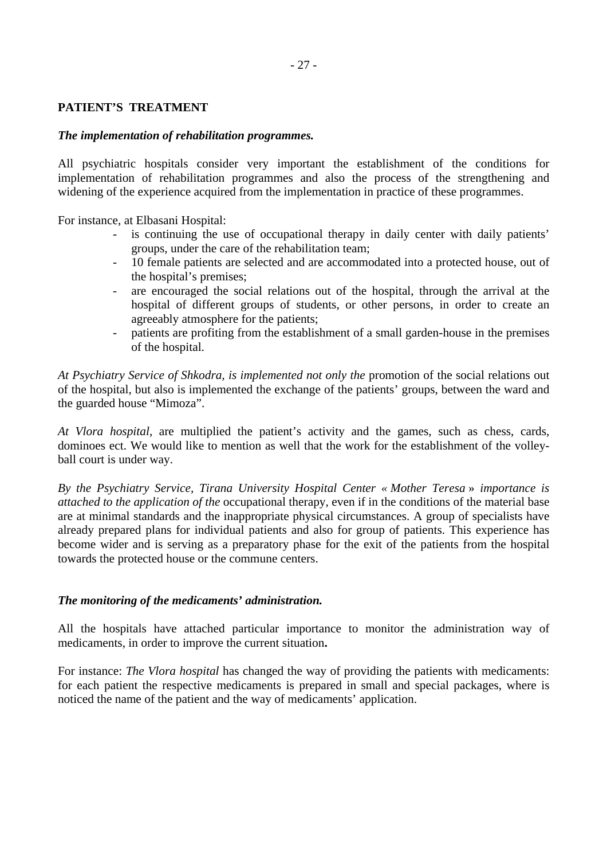# - 27 -

#### **PATIENT'S TREATMENT**

#### *The implementation of rehabilitation programmes.*

All psychiatric hospitals consider very important the establishment of the conditions for implementation of rehabilitation programmes and also the process of the strengthening and widening of the experience acquired from the implementation in practice of these programmes.

For instance, at Elbasani Hospital:

- is continuing the use of occupational therapy in daily center with daily patients' groups, under the care of the rehabilitation team;
- 10 female patients are selected and are accommodated into a protected house, out of the hospital's premises;
- are encouraged the social relations out of the hospital, through the arrival at the hospital of different groups of students, or other persons, in order to create an agreeably atmosphere for the patients;
- patients are profiting from the establishment of a small garden-house in the premises of the hospital.

*At Psychiatry Service of Shkodra, is implemented not only the* promotion of the social relations out of the hospital, but also is implemented the exchange of the patients' groups, between the ward and the guarded house "Mimoza".

*At Vlora hospital*, are multiplied the patient's activity and the games, such as chess, cards, dominoes ect. We would like to mention as well that the work for the establishment of the volleyball court is under way.

*By the Psychiatry Service, Tirana University Hospital Center « Mother Teresa* » *importance is attached to the application of the* occupational therapy, even if in the conditions of the material base are at minimal standards and the inappropriate physical circumstances. A group of specialists have already prepared plans for individual patients and also for group of patients. This experience has become wider and is serving as a preparatory phase for the exit of the patients from the hospital towards the protected house or the commune centers.

#### *The monitoring of the medicaments' administration.*

All the hospitals have attached particular importance to monitor the administration way of medicaments, in order to improve the current situation**.** 

For instance: *The Vlora hospital* has changed the way of providing the patients with medicaments: for each patient the respective medicaments is prepared in small and special packages, where is noticed the name of the patient and the way of medicaments' application.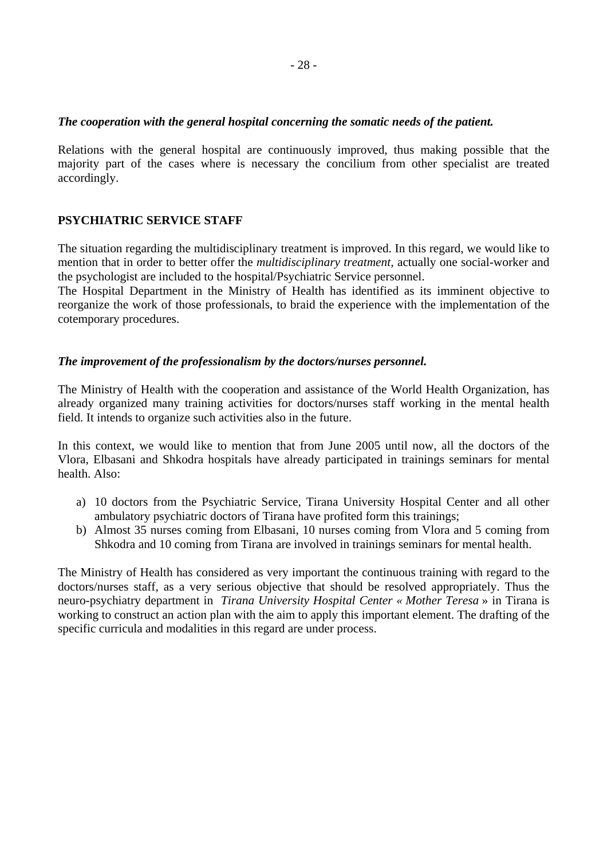#### *The cooperation with the general hospital concerning the somatic needs of the patient.*

Relations with the general hospital are continuously improved, thus making possible that the majority part of the cases where is necessary the concilium from other specialist are treated accordingly.

#### **PSYCHIATRIC SERVICE STAFF**

The situation regarding the multidisciplinary treatment is improved. In this regard, we would like to mention that in order to better offer the *multidisciplinary treatment,* actually one social-worker and the psychologist are included to the hospital/Psychiatric Service personnel.

The Hospital Department in the Ministry of Health has identified as its imminent objective to reorganize the work of those professionals, to braid the experience with the implementation of the cotemporary procedures.

#### *The improvement of the professionalism by the doctors/nurses personnel.*

The Ministry of Health with the cooperation and assistance of the World Health Organization, has already organized many training activities for doctors/nurses staff working in the mental health field. It intends to organize such activities also in the future.

In this context, we would like to mention that from June 2005 until now, all the doctors of the Vlora, Elbasani and Shkodra hospitals have already participated in trainings seminars for mental health. Also:

- a) 10 doctors from the Psychiatric Service, Tirana University Hospital Center and all other ambulatory psychiatric doctors of Tirana have profited form this trainings;
- b) Almost 35 nurses coming from Elbasani, 10 nurses coming from Vlora and 5 coming from Shkodra and 10 coming from Tirana are involved in trainings seminars for mental health.

The Ministry of Health has considered as very important the continuous training with regard to the doctors/nurses staff, as a very serious objective that should be resolved appropriately. Thus the neuro-psychiatry department in *Tirana University Hospital Center « Mother Teresa* » in Tirana is working to construct an action plan with the aim to apply this important element. The drafting of the specific curricula and modalities in this regard are under process.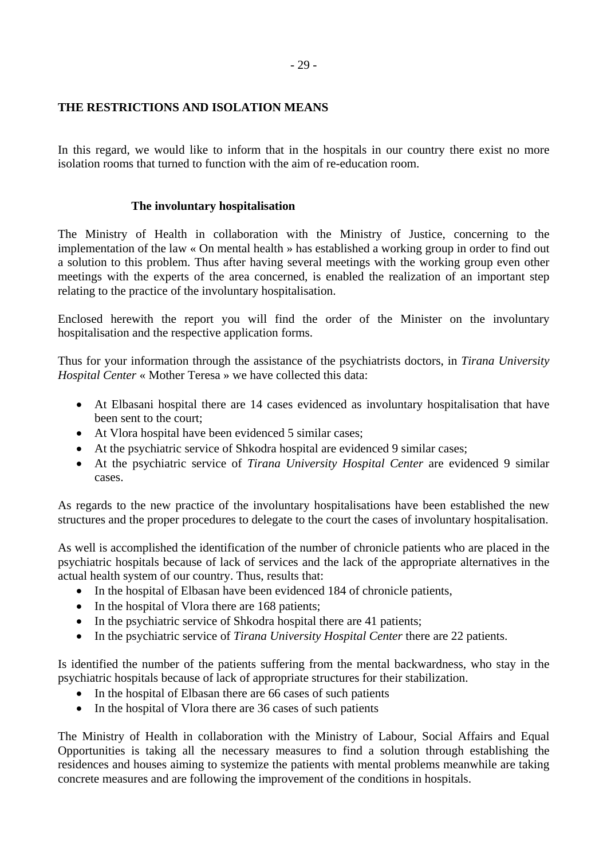## **THE RESTRICTIONS AND ISOLATION MEANS**

In this regard, we would like to inform that in the hospitals in our country there exist no more isolation rooms that turned to function with the aim of re-education room.

#### **The involuntary hospitalisation**

The Ministry of Health in collaboration with the Ministry of Justice, concerning to the implementation of the law « On mental health » has established a working group in order to find out a solution to this problem. Thus after having several meetings with the working group even other meetings with the experts of the area concerned, is enabled the realization of an important step relating to the practice of the involuntary hospitalisation.

Enclosed herewith the report you will find the order of the Minister on the involuntary hospitalisation and the respective application forms.

Thus for your information through the assistance of the psychiatrists doctors, in *Tirana University Hospital Center* « Mother Teresa » we have collected this data:

- At Elbasani hospital there are 14 cases evidenced as involuntary hospitalisation that have been sent to the court;
- At Vlora hospital have been evidenced 5 similar cases;
- At the psychiatric service of Shkodra hospital are evidenced 9 similar cases;
- At the psychiatric service of *Tirana University Hospital Center* are evidenced 9 similar cases.

As regards to the new practice of the involuntary hospitalisations have been established the new structures and the proper procedures to delegate to the court the cases of involuntary hospitalisation.

As well is accomplished the identification of the number of chronicle patients who are placed in the psychiatric hospitals because of lack of services and the lack of the appropriate alternatives in the actual health system of our country. Thus, results that:

- In the hospital of Elbasan have been evidenced 184 of chronicle patients,
- In the hospital of Vlora there are 168 patients;
- In the psychiatric service of Shkodra hospital there are 41 patients;
- In the psychiatric service of *Tirana University Hospital Center* there are 22 patients.

Is identified the number of the patients suffering from the mental backwardness, who stay in the psychiatric hospitals because of lack of appropriate structures for their stabilization.

- In the hospital of Elbasan there are 66 cases of such patients
- In the hospital of Vlora there are 36 cases of such patients

The Ministry of Health in collaboration with the Ministry of Labour, Social Affairs and Equal Opportunities is taking all the necessary measures to find a solution through establishing the residences and houses aiming to systemize the patients with mental problems meanwhile are taking concrete measures and are following the improvement of the conditions in hospitals.